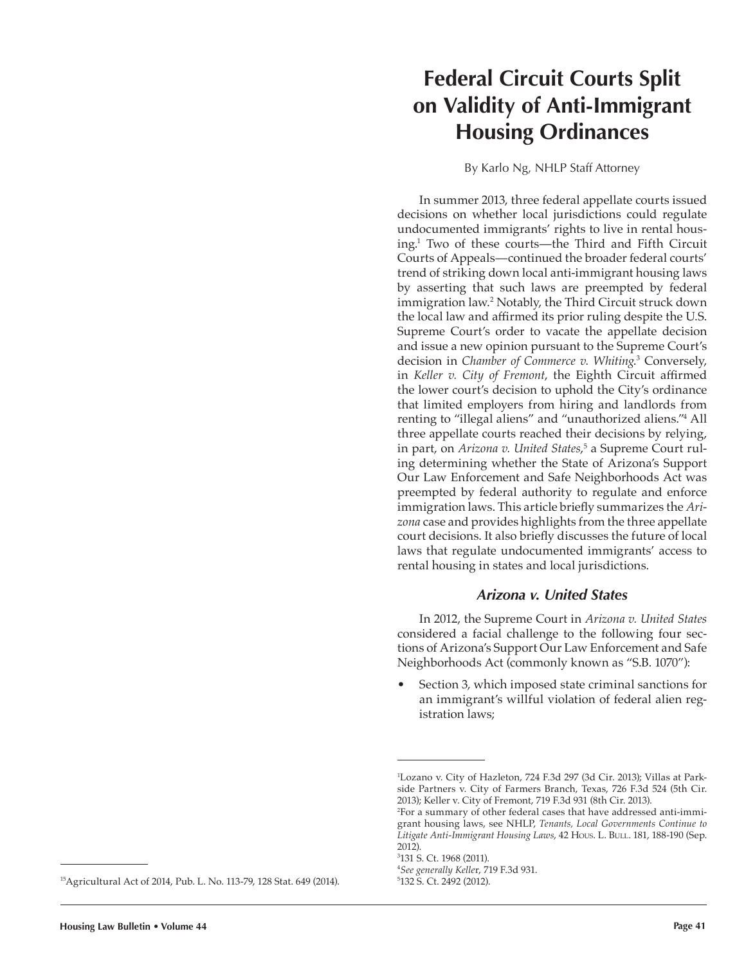# **Federal Circuit Courts Split on Validity of Anti-Immigrant Housing Ordinances**

By Karlo Ng, NHLP Staff Attorney

In summer 2013, three federal appellate courts issued decisions on whether local jurisdictions could regulate undocumented immigrants' rights to live in rental housing.<sup>1</sup> Two of these courts—the Third and Fifth Circuit Courts of Appeals—continued the broader federal courts' trend of striking down local anti-immigrant housing laws by asserting that such laws are preempted by federal immigration law.<sup>2</sup> Notably, the Third Circuit struck down the local law and affirmed its prior ruling despite the U.S. Supreme Court's order to vacate the appellate decision and issue a new opinion pursuant to the Supreme Court's decision in *Chamber of Commerce v. Whiting*. 3 Conversely, in *Keller v. City of Fremont*, the Eighth Circuit affirmed the lower court's decision to uphold the City's ordinance that limited employers from hiring and landlords from renting to "illegal aliens" and "unauthorized aliens."<sup>4</sup> All three appellate courts reached their decisions by relying, in part, on *Arizona v. United States*, 5 a Supreme Court ruling determining whether the State of Arizona's Support Our Law Enforcement and Safe Neighborhoods Act was preempted by federal authority to regulate and enforce immigration laws. This article briefly summarizes the *Arizona* case and provides highlights from the three appellate court decisions. It also briefly discusses the future of local laws that regulate undocumented immigrants' access to rental housing in states and local jurisdictions.

# *Arizona v. United States*

In 2012, the Supreme Court in *Arizona v. United States*  considered a facial challenge to the following four sections of Arizona's Support Our Law Enforcement and Safe Neighborhoods Act (commonly known as "S.B. 1070"):

• Section 3, which imposed state criminal sanctions for an immigrant's willful violation of federal alien registration laws;

<sup>15</sup>Agricultural Act of 2014, Pub. L. No. 113-79, 128 Stat. 649 (2014).

<sup>1</sup> Lozano v. City of Hazleton, 724 F.3d 297 (3d Cir. 2013); Villas at Parkside Partners v. City of Farmers Branch, Texas, 726 F.3d 524 (5th Cir. 2013); Keller v. City of Fremont, 719 F.3d 931 (8th Cir. 2013).

<sup>2</sup> For a summary of other federal cases that have addressed anti-immigrant housing laws, see NHLP, *Tenants, Local Governments Continue to*  Litigate Anti-Immigrant Housing Laws, 42 Hous. L. Bull. 181, 188-190 (Sep. 2012).

<sup>3</sup> 131 S. Ct. 1968 (2011).

<sup>4</sup> *See generally Kelle*r, 719 F.3d 931.

<sup>5</sup> 132 S. Ct. 2492 (2012).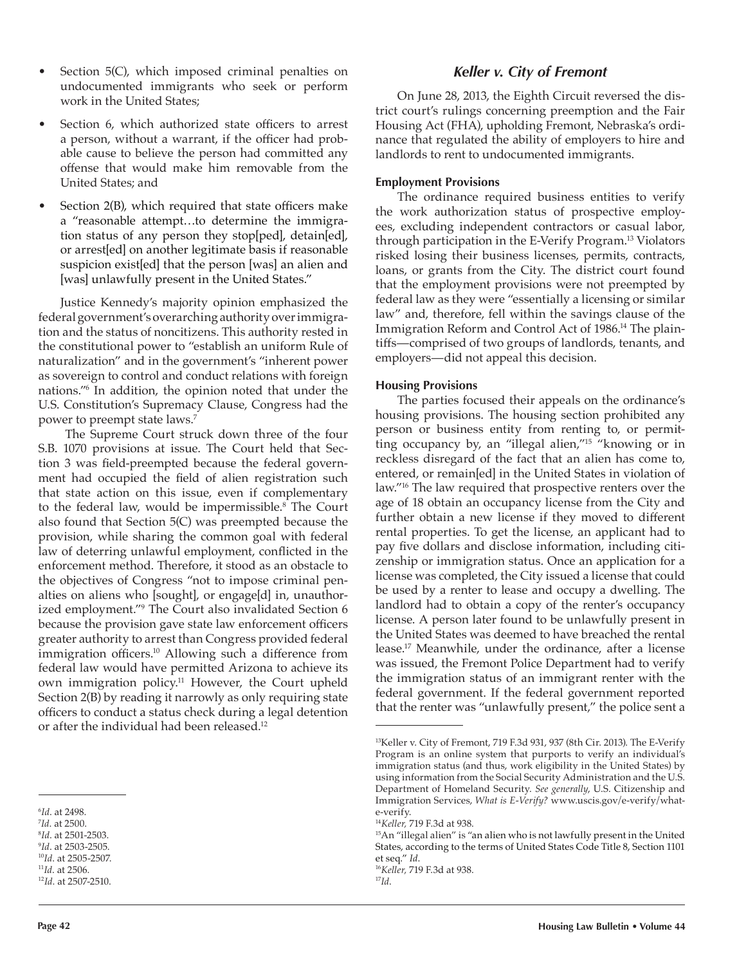- Section 5(C), which imposed criminal penalties on undocumented immigrants who seek or perform work in the United States;
- Section 6, which authorized state officers to arrest a person, without a warrant, if the officer had probable cause to believe the person had committed any offense that would make him removable from the United States; and
- Section 2(B), which required that state officers make a "reasonable attempt…to determine the immigration status of any person they stop[ped], detain[ed], or arrest[ed] on another legitimate basis if reasonable suspicion exist[ed] that the person [was] an alien and [was] unlawfully present in the United States."

Justice Kennedy's majority opinion emphasized the federal government's overarching authority over immigration and the status of noncitizens. This authority rested in the constitutional power to "establish an uniform Rule of naturalization" and in the government's "inherent power as sovereign to control and conduct relations with foreign nations."<sup>6</sup> In addition, the opinion noted that under the U.S. Constitution's Supremacy Clause, Congress had the power to preempt state laws.<sup>7</sup>

 The Supreme Court struck down three of the four S.B. 1070 provisions at issue. The Court held that Section 3 was field-preempted because the federal government had occupied the field of alien registration such that state action on this issue, even if complementary to the federal law, would be impermissible.<sup>8</sup> The Court also found that Section 5(C) was preempted because the provision, while sharing the common goal with federal law of deterring unlawful employment, conflicted in the enforcement method. Therefore, it stood as an obstacle to the objectives of Congress "not to impose criminal penalties on aliens who [sought], or engage[d] in, unauthorized employment."<sup>9</sup> The Court also invalidated Section 6 because the provision gave state law enforcement officers greater authority to arrest than Congress provided federal immigration officers.<sup>10</sup> Allowing such a difference from federal law would have permitted Arizona to achieve its own immigration policy.<sup>11</sup> However, the Court upheld Section 2(B) by reading it narrowly as only requiring state officers to conduct a status check during a legal detention or after the individual had been released.<sup>12</sup>

# *Keller v. City of Fremont*

On June 28, 2013, the Eighth Circuit reversed the district court's rulings concerning preemption and the Fair Housing Act (FHA), upholding Fremont, Nebraska's ordinance that regulated the ability of employers to hire and landlords to rent to undocumented immigrants.

# **Employment Provisions**

The ordinance required business entities to verify the work authorization status of prospective employees, excluding independent contractors or casual labor, through participation in the E-Verify Program.13 Violators risked losing their business licenses, permits, contracts, loans, or grants from the City. The district court found that the employment provisions were not preempted by federal law as they were "essentially a licensing or similar law" and, therefore, fell within the savings clause of the Immigration Reform and Control Act of 1986.<sup>14</sup> The plaintiffs—comprised of two groups of landlords, tenants, and employers—did not appeal this decision.

### **Housing Provisions**

The parties focused their appeals on the ordinance's housing provisions. The housing section prohibited any person or business entity from renting to, or permitting occupancy by, an "illegal alien,"<sup>15</sup> "knowing or in reckless disregard of the fact that an alien has come to, entered, or remain[ed] in the United States in violation of law."16 The law required that prospective renters over the age of 18 obtain an occupancy license from the City and further obtain a new license if they moved to different rental properties. To get the license, an applicant had to pay five dollars and disclose information, including citizenship or immigration status. Once an application for a license was completed, the City issued a license that could be used by a renter to lease and occupy a dwelling. The landlord had to obtain a copy of the renter's occupancy license. A person later found to be unlawfully present in the United States was deemed to have breached the rental lease.17 Meanwhile, under the ordinance, after a license was issued, the Fremont Police Department had to verify the immigration status of an immigrant renter with the federal government. If the federal government reported that the renter was "unlawfully present," the police sent a

<sup>6</sup> *Id*. at 2498.

<sup>7</sup> *Id*. at 2500.

<sup>8</sup> *Id*. at 2501-2503. 9 *Id*. at 2503-2505.

<sup>10</sup>*Id*. at 2505-2507.

<sup>11</sup>*Id*. at 2506.

<sup>12</sup>*Id*. at 2507-2510.

<sup>13</sup>Keller v. City of Fremont, 719 F.3d 931, 937 (8th Cir. 2013). The E-Verify Program is an online system that purports to verify an individual's immigration status (and thus, work eligibility in the United States) by using information from the Social Security Administration and the U.S. Department of Homeland Security. *See generally*, U.S. Citizenship and Immigration Services, *What is E-Verify?* [www.uscis.gov/e-verify/what](http://www.uscis.gov/e-verify/what-e-verify)[e-verify](http://www.uscis.gov/e-verify/what-e-verify).

<sup>14</sup>*Keller,* 719 F.3d at 938.

<sup>&</sup>lt;sup>15</sup>An "illegal alien" is "an alien who is not lawfully present in the United States, according to the terms of United States Code Title 8, Section 1101 et seq." *Id*.

<sup>16</sup>*Keller,* 719 F.3d at 938. 17*Id*.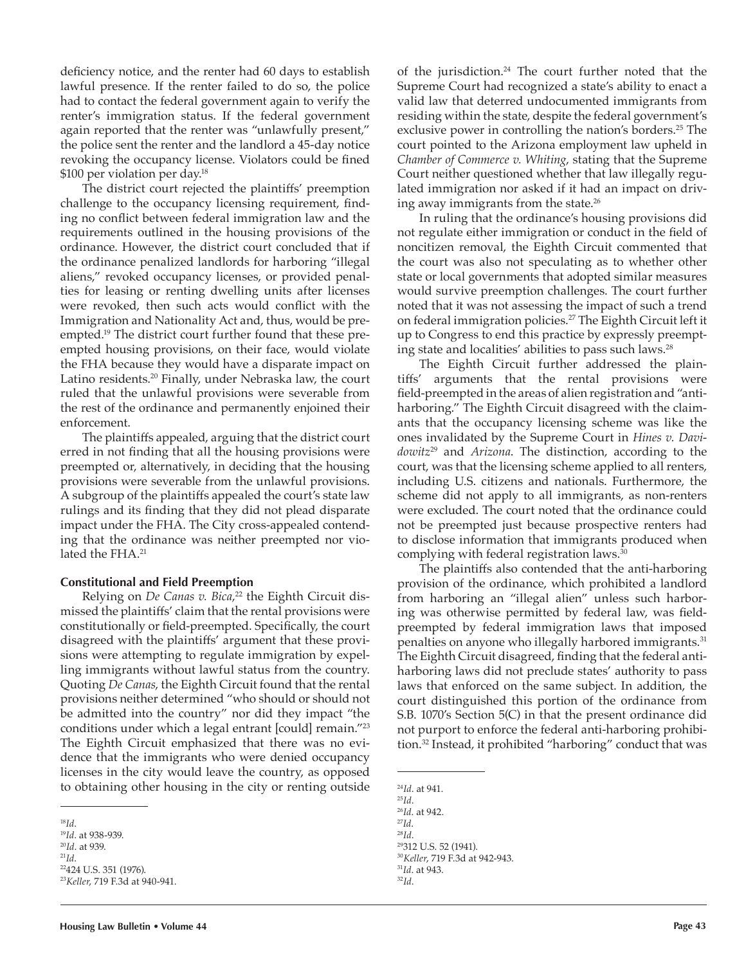deficiency notice, and the renter had 60 days to establish lawful presence. If the renter failed to do so, the police had to contact the federal government again to verify the renter's immigration status. If the federal government again reported that the renter was "unlawfully present," the police sent the renter and the landlord a 45-day notice revoking the occupancy license. Violators could be fined \$100 per violation per day.<sup>18</sup>

The district court rejected the plaintiffs' preemption challenge to the occupancy licensing requirement, finding no conflict between federal immigration law and the requirements outlined in the housing provisions of the ordinance. However, the district court concluded that if the ordinance penalized landlords for harboring "illegal aliens," revoked occupancy licenses, or provided penalties for leasing or renting dwelling units after licenses were revoked, then such acts would conflict with the Immigration and Nationality Act and, thus, would be preempted.19 The district court further found that these preempted housing provisions, on their face, would violate the FHA because they would have a disparate impact on Latino residents.<sup>20</sup> Finally, under Nebraska law, the court ruled that the unlawful provisions were severable from the rest of the ordinance and permanently enjoined their enforcement.

The plaintiffs appealed, arguing that the district court erred in not finding that all the housing provisions were preempted or, alternatively, in deciding that the housing provisions were severable from the unlawful provisions. A subgroup of the plaintiffs appealed the court's state law rulings and its finding that they did not plead disparate impact under the FHA. The City cross-appealed contending that the ordinance was neither preempted nor violated the FHA.<sup>21</sup>

### **Constitutional and Field Preemption**

Relying on *De Canas v. Bica*, 22 the Eighth Circuit dismissed the plaintiffs' claim that the rental provisions were constitutionally or field-preempted. Specifically, the court disagreed with the plaintiffs' argument that these provisions were attempting to regulate immigration by expelling immigrants without lawful status from the country. Quoting *De Canas*, the Eighth Circuit found that the rental provisions neither determined "who should or should not be admitted into the country" nor did they impact "the conditions under which a legal entrant [could] remain."<sup>23</sup> The Eighth Circuit emphasized that there was no evidence that the immigrants who were denied occupancy licenses in the city would leave the country, as opposed to obtaining other housing in the city or renting outside

of the jurisdiction.24 The court further noted that the Supreme Court had recognized a state's ability to enact a valid law that deterred undocumented immigrants from residing within the state, despite the federal government's exclusive power in controlling the nation's borders.<sup>25</sup> The court pointed to the Arizona employment law upheld in *Chamber of Commerce v. Whiting*, stating that the Supreme Court neither questioned whether that law illegally regulated immigration nor asked if it had an impact on driving away immigrants from the state.<sup>26</sup>

In ruling that the ordinance's housing provisions did not regulate either immigration or conduct in the field of noncitizen removal, the Eighth Circuit commented that the court was also not speculating as to whether other state or local governments that adopted similar measures would survive preemption challenges. The court further noted that it was not assessing the impact of such a trend on federal immigration policies.<sup>27</sup> The Eighth Circuit left it up to Congress to end this practice by expressly preempting state and localities' abilities to pass such laws.<sup>28</sup>

The Eighth Circuit further addressed the plaintiffs' arguments that the rental provisions were field-preempted in the areas of alien registration and "antiharboring." The Eighth Circuit disagreed with the claimants that the occupancy licensing scheme was like the ones invalidated by the Supreme Court in *Hines v. Davidowitz*29 and *Arizona*. The distinction, according to the court, was that the licensing scheme applied to all renters, including U.S. citizens and nationals. Furthermore, the scheme did not apply to all immigrants, as non-renters were excluded. The court noted that the ordinance could not be preempted just because prospective renters had to disclose information that immigrants produced when complying with federal registration laws.<sup>30</sup>

The plaintiffs also contended that the anti-harboring provision of the ordinance, which prohibited a landlord from harboring an "illegal alien" unless such harboring was otherwise permitted by federal law, was fieldpreempted by federal immigration laws that imposed penalties on anyone who illegally harbored immigrants.<sup>31</sup> The Eighth Circuit disagreed, finding that the federal antiharboring laws did not preclude states' authority to pass laws that enforced on the same subject. In addition, the court distinguished this portion of the ordinance from S.B. 1070's Section 5(C) in that the present ordinance did not purport to enforce the federal anti-harboring prohibition.<sup>32</sup> Instead, it prohibited "harboring" conduct that was

32*Id*.

<sup>18</sup>*Id*.

<sup>19</sup>*Id*. at 938-939. <sup>20</sup>*Id*. at 939.

<sup>21</sup>*Id*.

<sup>22</sup>424 U.S. 351 (1976). <sup>23</sup>*Keller*, 719 F.3d at 940-941.

<sup>24</sup>*Id*. at 941.

<sup>25</sup>*Id*. <sup>26</sup>*Id*. at 942. <sup>27</sup>*Id*. <sup>28</sup>*Id*. <sup>29</sup>312 U.S. 52 (1941). <sup>30</sup>*Keller*, 719 F.3d at 942-943. <sup>31</sup>*Id*. at 943.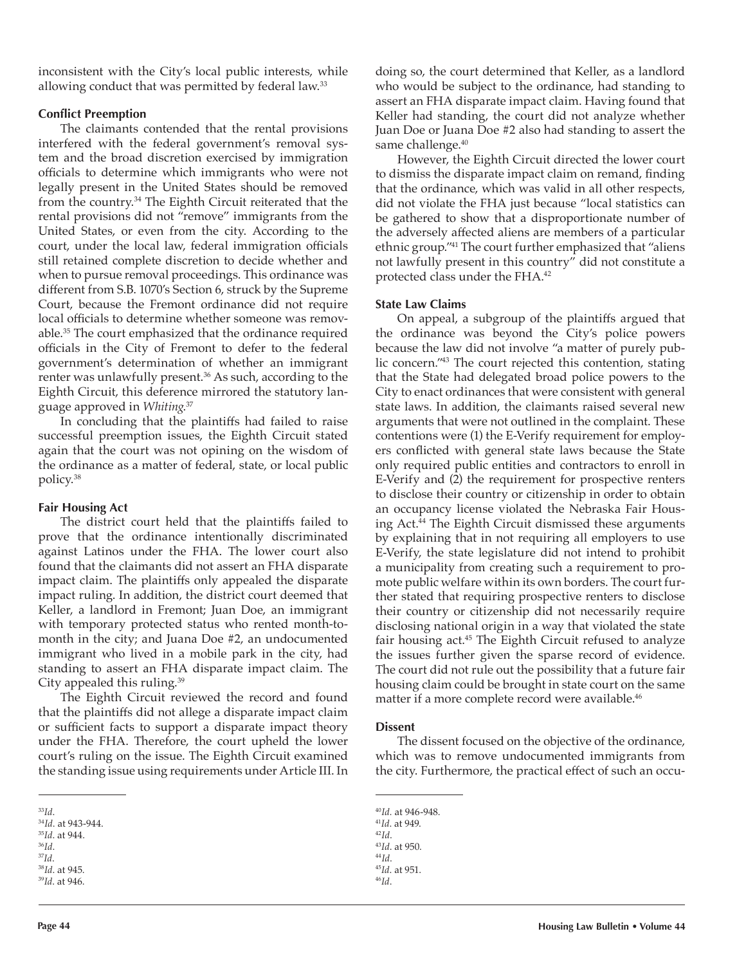inconsistent with the City's local public interests, while allowing conduct that was permitted by federal law.<sup>33</sup>

### **Conflict Preemption**

The claimants contended that the rental provisions interfered with the federal government's removal system and the broad discretion exercised by immigration officials to determine which immigrants who were not legally present in the United States should be removed from the country.34 The Eighth Circuit reiterated that the rental provisions did not "remove" immigrants from the United States, or even from the city. According to the court, under the local law, federal immigration officials still retained complete discretion to decide whether and when to pursue removal proceedings. This ordinance was different from S.B. 1070's Section 6, struck by the Supreme Court, because the Fremont ordinance did not require local officials to determine whether someone was removable.<sup>35</sup> The court emphasized that the ordinance required officials in the City of Fremont to defer to the federal government's determination of whether an immigrant renter was unlawfully present.<sup>36</sup> As such, according to the Eighth Circuit, this deference mirrored the statutory language approved in *Whiting*. 37

In concluding that the plaintiffs had failed to raise successful preemption issues, the Eighth Circuit stated again that the court was not opining on the wisdom of the ordinance as a matter of federal, state, or local public policy.<sup>38</sup>

### **Fair Housing Act**

The district court held that the plaintiffs failed to prove that the ordinance intentionally discriminated against Latinos under the FHA. The lower court also found that the claimants did not assert an FHA disparate impact claim. The plaintiffs only appealed the disparate impact ruling. In addition, the district court deemed that Keller, a landlord in Fremont; Juan Doe, an immigrant with temporary protected status who rented month-tomonth in the city; and Juana Doe #2, an undocumented immigrant who lived in a mobile park in the city, had standing to assert an FHA disparate impact claim. The City appealed this ruling.<sup>39</sup>

The Eighth Circuit reviewed the record and found that the plaintiffs did not allege a disparate impact claim or sufficient facts to support a disparate impact theory under the FHA. Therefore, the court upheld the lower court's ruling on the issue. The Eighth Circuit examined the standing issue using requirements under Article III. In

<sup>39</sup>*Id*. at 946.

doing so, the court determined that Keller, as a landlord who would be subject to the ordinance, had standing to assert an FHA disparate impact claim. Having found that Keller had standing, the court did not analyze whether Juan Doe or Juana Doe #2 also had standing to assert the same challenge.<sup>40</sup>

However, the Eighth Circuit directed the lower court to dismiss the disparate impact claim on remand, finding that the ordinance, which was valid in all other respects, did not violate the FHA just because "local statistics can be gathered to show that a disproportionate number of the adversely affected aliens are members of a particular ethnic group."<sup>41</sup> The court further emphasized that "aliens not lawfully present in this country" did not constitute a protected class under the FHA.<sup>42</sup>

# **State Law Claims**

On appeal, a subgroup of the plaintiffs argued that the ordinance was beyond the City's police powers because the law did not involve "a matter of purely public concern."43 The court rejected this contention, stating that the State had delegated broad police powers to the City to enact ordinances that were consistent with general state laws. In addition, the claimants raised several new arguments that were not outlined in the complaint. These contentions were (1) the E-Verify requirement for employers conflicted with general state laws because the State only required public entities and contractors to enroll in E-Verify and (2) the requirement for prospective renters to disclose their country or citizenship in order to obtain an occupancy license violated the Nebraska Fair Housing Act.44 The Eighth Circuit dismissed these arguments by explaining that in not requiring all employers to use E-Verify, the state legislature did not intend to prohibit a municipality from creating such a requirement to promote public welfare within its own borders. The court further stated that requiring prospective renters to disclose their country or citizenship did not necessarily require disclosing national origin in a way that violated the state fair housing act.<sup>45</sup> The Eighth Circuit refused to analyze the issues further given the sparse record of evidence. The court did not rule out the possibility that a future fair housing claim could be brought in state court on the same matter if a more complete record were available.<sup>46</sup>

### **Dissent**

The dissent focused on the objective of the ordinance, which was to remove undocumented immigrants from the city. Furthermore, the practical effect of such an occu-

<sup>33</sup>*Id*.

<sup>34</sup>*Id*. at 943-944. <sup>35</sup>*Id*. at 944.

<sup>36</sup>*Id*.

<sup>37</sup>*Id*.

<sup>38</sup>*Id*. at 945.

<sup>40</sup>*Id.* at 946-948. <sup>41</sup>*Id*. at 949. <sup>42</sup>*Id*. <sup>43</sup>*Id*. at 950. <sup>44</sup>*Id*. <sup>45</sup>*Id*. at 951. 46*Id*.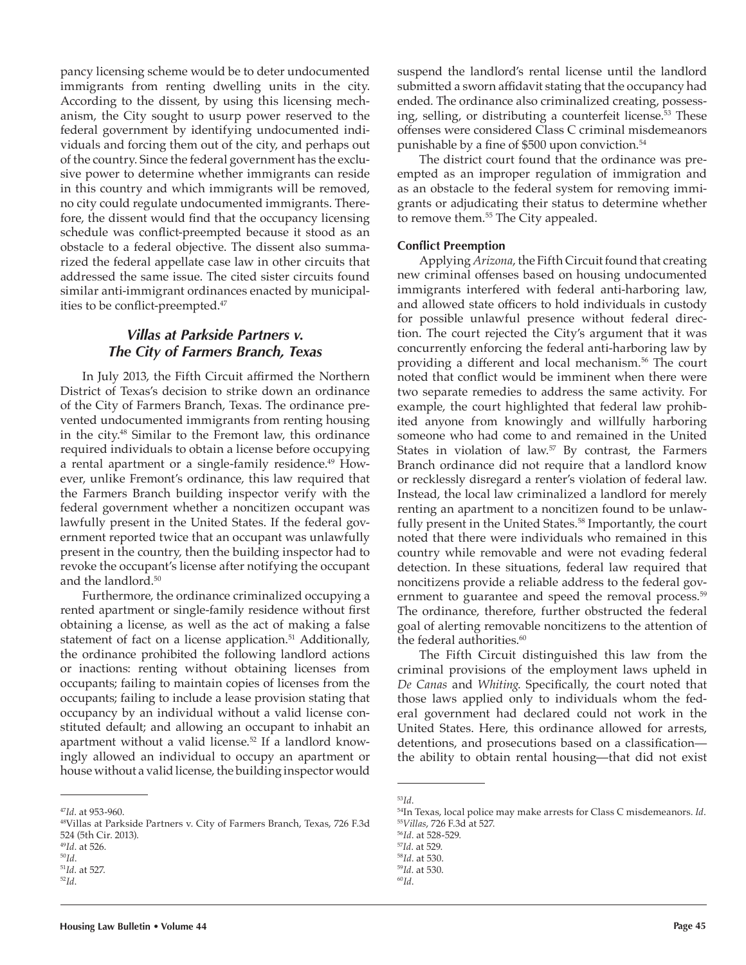pancy licensing scheme would be to deter undocumented immigrants from renting dwelling units in the city. According to the dissent, by using this licensing mechanism, the City sought to usurp power reserved to the federal government by identifying undocumented individuals and forcing them out of the city, and perhaps out of the country. Since the federal government has the exclusive power to determine whether immigrants can reside in this country and which immigrants will be removed, no city could regulate undocumented immigrants. Therefore, the dissent would find that the occupancy licensing schedule was conflict-preempted because it stood as an obstacle to a federal objective. The dissent also summarized the federal appellate case law in other circuits that addressed the same issue. The cited sister circuits found similar anti-immigrant ordinances enacted by municipalities to be conflict-preempted.<sup>47</sup>

# *Villas at Parkside Partners v. The City of Farmers Branch, Texas*

In July 2013, the Fifth Circuit affirmed the Northern District of Texas's decision to strike down an ordinance of the City of Farmers Branch, Texas. The ordinance prevented undocumented immigrants from renting housing in the city.48 Similar to the Fremont law, this ordinance required individuals to obtain a license before occupying a rental apartment or a single-family residence.<sup>49</sup> However, unlike Fremont's ordinance, this law required that the Farmers Branch building inspector verify with the federal government whether a noncitizen occupant was lawfully present in the United States. If the federal government reported twice that an occupant was unlawfully present in the country, then the building inspector had to revoke the occupant's license after notifying the occupant and the landlord.<sup>50</sup>

Furthermore, the ordinance criminalized occupying a rented apartment or single-family residence without first obtaining a license, as well as the act of making a false statement of fact on a license application.<sup>51</sup> Additionally, the ordinance prohibited the following landlord actions or inactions: renting without obtaining licenses from occupants; failing to maintain copies of licenses from the occupants; failing to include a lease provision stating that occupancy by an individual without a valid license constituted default; and allowing an occupant to inhabit an apartment without a valid license.<sup>52</sup> If a landlord knowingly allowed an individual to occupy an apartment or house without a valid license, the building inspector would

suspend the landlord's rental license until the landlord submitted a sworn affidavit stating that the occupancy had ended. The ordinance also criminalized creating, possessing, selling, or distributing a counterfeit license.53 These offenses were considered Class C criminal misdemeanors punishable by a fine of \$500 upon conviction.<sup>54</sup>

The district court found that the ordinance was preempted as an improper regulation of immigration and as an obstacle to the federal system for removing immigrants or adjudicating their status to determine whether to remove them.<sup>55</sup> The City appealed.

# **Conflict Preemption**

Applying *Arizona*, the Fifth Circuit found that creating new criminal offenses based on housing undocumented immigrants interfered with federal anti-harboring law, and allowed state officers to hold individuals in custody for possible unlawful presence without federal direction. The court rejected the City's argument that it was concurrently enforcing the federal anti-harboring law by providing a different and local mechanism.56 The court noted that conflict would be imminent when there were two separate remedies to address the same activity. For example, the court highlighted that federal law prohibited anyone from knowingly and willfully harboring someone who had come to and remained in the United States in violation of law.<sup>57</sup> By contrast, the Farmers Branch ordinance did not require that a landlord know or recklessly disregard a renter's violation of federal law. Instead, the local law criminalized a landlord for merely renting an apartment to a noncitizen found to be unlawfully present in the United States.<sup>58</sup> Importantly, the court noted that there were individuals who remained in this country while removable and were not evading federal detection. In these situations, federal law required that noncitizens provide a reliable address to the federal government to guarantee and speed the removal process.<sup>59</sup> The ordinance, therefore, further obstructed the federal goal of alerting removable noncitizens to the attention of the federal authorities.<sup>60</sup>

The Fifth Circuit distinguished this law from the criminal provisions of the employment laws upheld in *De Canas* and *Whiting*. Specifically, the court noted that those laws applied only to individuals whom the federal government had declared could not work in the United States. Here, this ordinance allowed for arrests, detentions, and prosecutions based on a classification the ability to obtain rental housing—that did not exist

<sup>47</sup>*Id*. at 953-960.

<sup>48</sup>Villas at Parkside Partners v. City of Farmers Branch, Texas, 726 F.3d 524 (5th Cir. 2013).

<sup>49</sup>*Id*. at 526.

<sup>50</sup>*Id*.

<sup>51</sup>*Id*. at 527. <sup>52</sup>*Id*.

<sup>53</sup>*Id*.

<sup>54</sup>In Texas, local police may make arrests for Class C misdemeanors. *Id*. <sup>55</sup>*Villas*, 726 F.3d at 527.

<sup>56</sup>*Id*. at 528-529.

<sup>57</sup>*Id*. at 529.

<sup>58</sup>*Id*. at 530.

<sup>59</sup>*Id*. at 530.

<sup>60</sup>*Id*.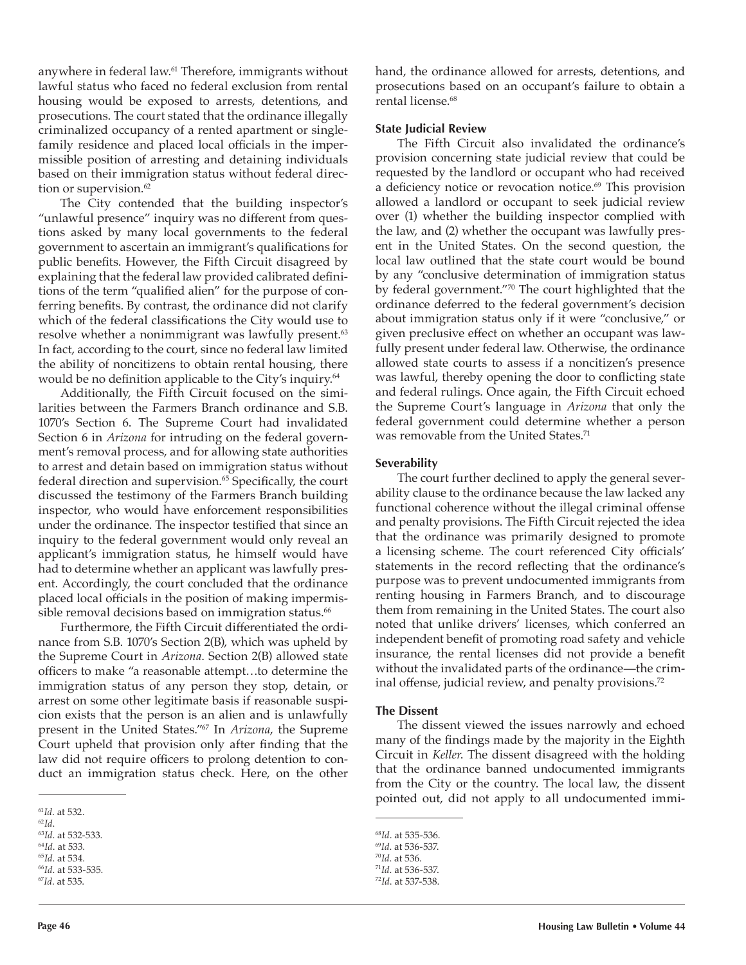anywhere in federal law.61 Therefore, immigrants without lawful status who faced no federal exclusion from rental housing would be exposed to arrests, detentions, and prosecutions. The court stated that the ordinance illegally criminalized occupancy of a rented apartment or singlefamily residence and placed local officials in the impermissible position of arresting and detaining individuals based on their immigration status without federal direction or supervision.<sup>62</sup>

The City contended that the building inspector's "unlawful presence" inquiry was no different from questions asked by many local governments to the federal government to ascertain an immigrant's qualifications for public benefits. However, the Fifth Circuit disagreed by explaining that the federal law provided calibrated definitions of the term "qualified alien" for the purpose of conferring benefits. By contrast, the ordinance did not clarify which of the federal classifications the City would use to resolve whether a nonimmigrant was lawfully present.<sup>63</sup> In fact, according to the court, since no federal law limited the ability of noncitizens to obtain rental housing, there would be no definition applicable to the City's inquiry.<sup>64</sup>

Additionally, the Fifth Circuit focused on the similarities between the Farmers Branch ordinance and S.B. 1070's Section 6. The Supreme Court had invalidated Section 6 in *Arizona* for intruding on the federal government's removal process, and for allowing state authorities to arrest and detain based on immigration status without federal direction and supervision.<sup>65</sup> Specifically, the court discussed the testimony of the Farmers Branch building inspector, who would have enforcement responsibilities under the ordinance. The inspector testified that since an inquiry to the federal government would only reveal an applicant's immigration status, he himself would have had to determine whether an applicant was lawfully present. Accordingly, the court concluded that the ordinance placed local officials in the position of making impermissible removal decisions based on immigration status.<sup>66</sup>

Furthermore, the Fifth Circuit differentiated the ordinance from S.B. 1070's Section 2(B), which was upheld by the Supreme Court in *Arizona*. Section 2(B) allowed state officers to make "a reasonable attempt…to determine the immigration status of any person they stop, detain, or arrest on some other legitimate basis if reasonable suspicion exists that the person is an alien and is unlawfully present in the United States."67 In *Arizona*, the Supreme Court upheld that provision only after finding that the law did not require officers to prolong detention to conduct an immigration status check. Here, on the other hand, the ordinance allowed for arrests, detentions, and prosecutions based on an occupant's failure to obtain a rental license.<sup>68</sup>

#### **State Judicial Review**

The Fifth Circuit also invalidated the ordinance's provision concerning state judicial review that could be requested by the landlord or occupant who had received a deficiency notice or revocation notice.<sup>69</sup> This provision allowed a landlord or occupant to seek judicial review over (1) whether the building inspector complied with the law, and (2) whether the occupant was lawfully present in the United States. On the second question, the local law outlined that the state court would be bound by any "conclusive determination of immigration status by federal government."70 The court highlighted that the ordinance deferred to the federal government's decision about immigration status only if it were "conclusive," or given preclusive effect on whether an occupant was lawfully present under federal law. Otherwise, the ordinance allowed state courts to assess if a noncitizen's presence was lawful, thereby opening the door to conflicting state and federal rulings. Once again, the Fifth Circuit echoed the Supreme Court's language in *Arizona* that only the federal government could determine whether a person was removable from the United States.<sup>71</sup>

#### **Severability**

The court further declined to apply the general severability clause to the ordinance because the law lacked any functional coherence without the illegal criminal offense and penalty provisions. The Fifth Circuit rejected the idea that the ordinance was primarily designed to promote a licensing scheme. The court referenced City officials' statements in the record reflecting that the ordinance's purpose was to prevent undocumented immigrants from renting housing in Farmers Branch, and to discourage them from remaining in the United States. The court also noted that unlike drivers' licenses, which conferred an independent benefit of promoting road safety and vehicle insurance, the rental licenses did not provide a benefit without the invalidated parts of the ordinance—the criminal offense, judicial review, and penalty provisions.<sup>72</sup>

#### **The Dissent**

The dissent viewed the issues narrowly and echoed many of the findings made by the majority in the Eighth Circuit in *Keller*. The dissent disagreed with the holding that the ordinance banned undocumented immigrants from the City or the country. The local law, the dissent pointed out, did not apply to all undocumented immi-

<sup>61</sup>*Id*. at 532.

<sup>62</sup>*Id*. <sup>63</sup>*Id*. at 532-533.

<sup>64</sup>*Id*. at 533.

<sup>65</sup>*Id*. at 534.

<sup>66</sup>*Id*. at 533-535.

<sup>67</sup>*Id*. at 535.

<sup>68</sup>*Id*. at 535-536.

<sup>69</sup>*Id*. at 536-537.

<sup>70</sup>*Id*. at 536. <sup>71</sup>*Id*. at 536-537. 72*Id*. at 537-538.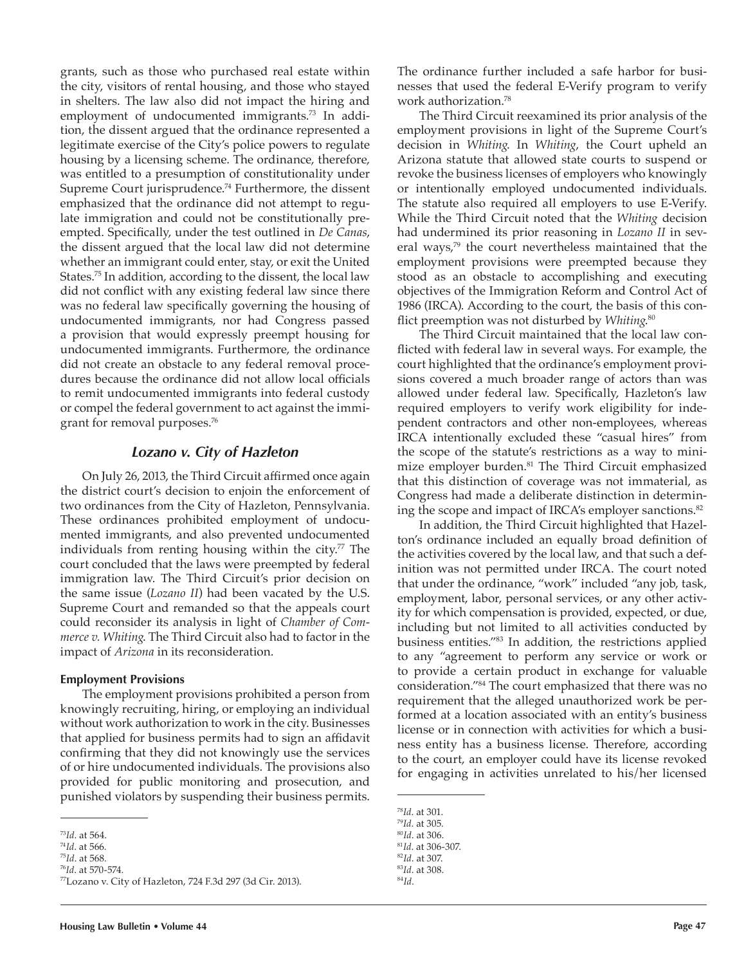grants, such as those who purchased real estate within the city, visitors of rental housing, and those who stayed in shelters. The law also did not impact the hiring and employment of undocumented immigrants.<sup>73</sup> In addition, the dissent argued that the ordinance represented a legitimate exercise of the City's police powers to regulate housing by a licensing scheme. The ordinance, therefore, was entitled to a presumption of constitutionality under Supreme Court jurisprudence.<sup>74</sup> Furthermore, the dissent emphasized that the ordinance did not attempt to regulate immigration and could not be constitutionally preempted. Specifically, under the test outlined in *De Canas*, the dissent argued that the local law did not determine whether an immigrant could enter, stay, or exit the United States.75 In addition, according to the dissent, the local law did not conflict with any existing federal law since there was no federal law specifically governing the housing of undocumented immigrants, nor had Congress passed a provision that would expressly preempt housing for undocumented immigrants. Furthermore, the ordinance did not create an obstacle to any federal removal procedures because the ordinance did not allow local officials to remit undocumented immigrants into federal custody or compel the federal government to act against the immigrant for removal purposes.<sup>76</sup>

# *Lozano v. City of Hazleton*

On July 26, 2013, the Third Circuit affirmed once again the district court's decision to enjoin the enforcement of two ordinances from the City of Hazleton, Pennsylvania. These ordinances prohibited employment of undocumented immigrants, and also prevented undocumented individuals from renting housing within the city.<sup>77</sup> The court concluded that the laws were preempted by federal immigration law. The Third Circuit's prior decision on the same issue (*Lozano II*) had been vacated by the U.S. Supreme Court and remanded so that the appeals court could reconsider its analysis in light of *Chamber of Commerce v. Whiting*. The Third Circuit also had to factor in the impact of *Arizona* in its reconsideration.

### **Employment Provisions**

The employment provisions prohibited a person from knowingly recruiting, hiring, or employing an individual without work authorization to work in the city. Businesses that applied for business permits had to sign an affidavit confirming that they did not knowingly use the services of or hire undocumented individuals. The provisions also provided for public monitoring and prosecution, and punished violators by suspending their business permits.

```
77Lozano v. City of Hazleton, 724 F.3d 297 (3d Cir. 2013).
```
The ordinance further included a safe harbor for businesses that used the federal E-Verify program to verify work authorization.<sup>78</sup>

The Third Circuit reexamined its prior analysis of the employment provisions in light of the Supreme Court's decision in *Whiting*. In *Whiting*, the Court upheld an Arizona statute that allowed state courts to suspend or revoke the business licenses of employers who knowingly or intentionally employed undocumented individuals. The statute also required all employers to use E-Verify. While the Third Circuit noted that the *Whiting* decision had undermined its prior reasoning in *Lozano II* in several ways,<sup>79</sup> the court nevertheless maintained that the employment provisions were preempted because they stood as an obstacle to accomplishing and executing objectives of the Immigration Reform and Control Act of 1986 (IRCA). According to the court, the basis of this conflict preemption was not disturbed by *Whiting*. 80

The Third Circuit maintained that the local law conflicted with federal law in several ways. For example, the court highlighted that the ordinance's employment provisions covered a much broader range of actors than was allowed under federal law. Specifically, Hazleton's law required employers to verify work eligibility for independent contractors and other non-employees, whereas IRCA intentionally excluded these "casual hires" from the scope of the statute's restrictions as a way to minimize employer burden.<sup>81</sup> The Third Circuit emphasized that this distinction of coverage was not immaterial, as Congress had made a deliberate distinction in determining the scope and impact of IRCA's employer sanctions.<sup>82</sup>

In addition, the Third Circuit highlighted that Hazelton's ordinance included an equally broad definition of the activities covered by the local law, and that such a definition was not permitted under IRCA. The court noted that under the ordinance, "work" included "any job, task, employment, labor, personal services, or any other activity for which compensation is provided, expected, or due, including but not limited to all activities conducted by business entities."83 In addition, the restrictions applied to any "agreement to perform any service or work or to provide a certain product in exchange for valuable consideration."<sup>84</sup> The court emphasized that there was no requirement that the alleged unauthorized work be performed at a location associated with an entity's business license or in connection with activities for which a business entity has a business license. Therefore, according to the court, an employer could have its license revoked for engaging in activities unrelated to his/her licensed

84*Id*.

<sup>73</sup>*Id*. at 564.

<sup>74</sup>*Id*. at 566.

<sup>75</sup>*Id*. at 568. <sup>76</sup>*Id*. at 570-574.

<sup>78</sup>*Id*. at 301.

<sup>79</sup>*Id*. at 305.

<sup>80</sup>*Id*. at 306. <sup>81</sup>*Id*. at 306-307.

<sup>82</sup>*Id*. at 307.

<sup>83</sup>*Id*. at 308.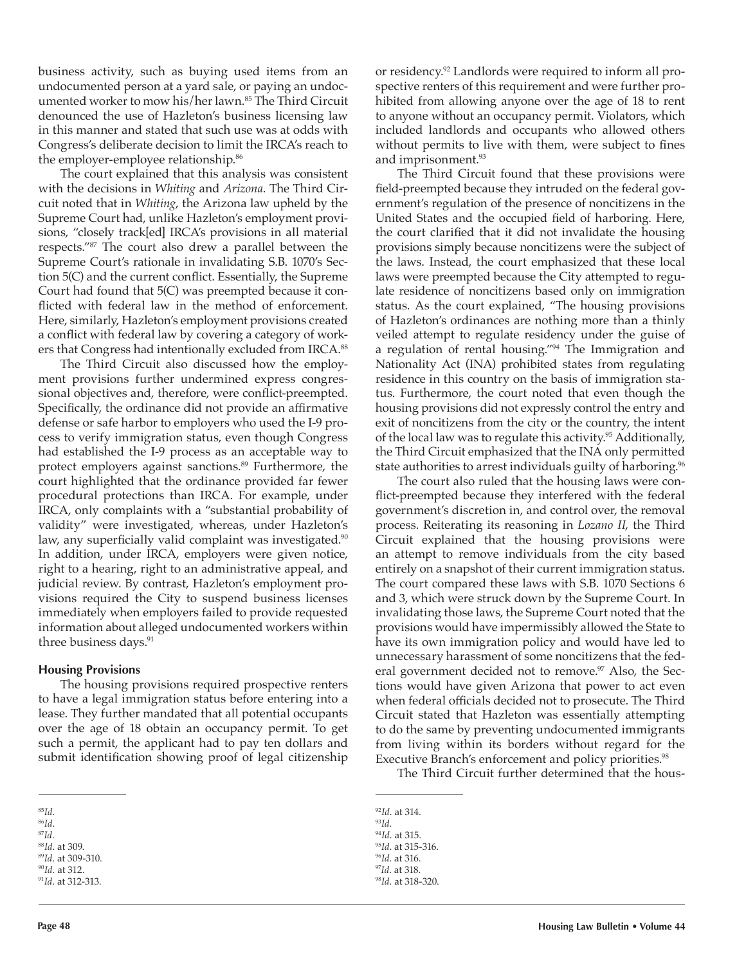business activity, such as buying used items from an undocumented person at a yard sale, or paying an undocumented worker to mow his/her lawn.<sup>85</sup> The Third Circuit denounced the use of Hazleton's business licensing law in this manner and stated that such use was at odds with Congress's deliberate decision to limit the IRCA's reach to the employer-employee relationship.<sup>86</sup>

The court explained that this analysis was consistent with the decisions in *Whiting* and *Arizona*. The Third Circuit noted that in *Whiting*, the Arizona law upheld by the Supreme Court had, unlike Hazleton's employment provisions, "closely track[ed] IRCA's provisions in all material respects."87 The court also drew a parallel between the Supreme Court's rationale in invalidating S.B. 1070's Section 5(C) and the current conflict. Essentially, the Supreme Court had found that 5(C) was preempted because it conflicted with federal law in the method of enforcement. Here, similarly, Hazleton's employment provisions created a conflict with federal law by covering a category of workers that Congress had intentionally excluded from IRCA.<sup>88</sup>

The Third Circuit also discussed how the employment provisions further undermined express congressional objectives and, therefore, were conflict-preempted. Specifically, the ordinance did not provide an affirmative defense or safe harbor to employers who used the I-9 process to verify immigration status, even though Congress had established the I-9 process as an acceptable way to protect employers against sanctions.<sup>89</sup> Furthermore, the court highlighted that the ordinance provided far fewer procedural protections than IRCA. For example, under IRCA, only complaints with a "substantial probability of validity" were investigated, whereas, under Hazleton's law, any superficially valid complaint was investigated.<sup>90</sup> In addition, under IRCA, employers were given notice, right to a hearing, right to an administrative appeal, and judicial review. By contrast, Hazleton's employment provisions required the City to suspend business licenses immediately when employers failed to provide requested information about alleged undocumented workers within three business days.<sup>91</sup>

# **Housing Provisions**

The housing provisions required prospective renters to have a legal immigration status before entering into a lease. They further mandated that all potential occupants over the age of 18 obtain an occupancy permit. To get such a permit, the applicant had to pay ten dollars and submit identification showing proof of legal citizenship

The Third Circuit found that these provisions were field-preempted because they intruded on the federal government's regulation of the presence of noncitizens in the United States and the occupied field of harboring. Here, the court clarified that it did not invalidate the housing provisions simply because noncitizens were the subject of the laws. Instead, the court emphasized that these local laws were preempted because the City attempted to regulate residence of noncitizens based only on immigration status. As the court explained, "The housing provisions of Hazleton's ordinances are nothing more than a thinly veiled attempt to regulate residency under the guise of a regulation of rental housing."94 The Immigration and Nationality Act (INA) prohibited states from regulating residence in this country on the basis of immigration status. Furthermore, the court noted that even though the housing provisions did not expressly control the entry and exit of noncitizens from the city or the country, the intent of the local law was to regulate this activity.<sup>95</sup> Additionally, the Third Circuit emphasized that the INA only permitted state authorities to arrest individuals guilty of harboring.<sup>96</sup>

The court also ruled that the housing laws were conflict-preempted because they interfered with the federal government's discretion in, and control over, the removal process. Reiterating its reasoning in *Lozano II*, the Third Circuit explained that the housing provisions were an attempt to remove individuals from the city based entirely on a snapshot of their current immigration status. The court compared these laws with S.B. 1070 Sections 6 and 3, which were struck down by the Supreme Court. In invalidating those laws, the Supreme Court noted that the provisions would have impermissibly allowed the State to have its own immigration policy and would have led to unnecessary harassment of some noncitizens that the federal government decided not to remove.<sup>97</sup> Also, the Sections would have given Arizona that power to act even when federal officials decided not to prosecute. The Third Circuit stated that Hazleton was essentially attempting to do the same by preventing undocumented immigrants from living within its borders without regard for the Executive Branch's enforcement and policy priorities.<sup>98</sup>

The Third Circuit further determined that the hous-

<sup>85</sup>*Id*. <sup>86</sup>*Id*. <sup>87</sup>*Id*.

*Id*. at 314. <sup>93</sup>*Id*. *Id*. at 315. *Id*. at 315-316. *Id*. at 316. *Id*. at 318. *Id*. at 318-320.

or residency.92 Landlords were required to inform all prospective renters of this requirement and were further prohibited from allowing anyone over the age of 18 to rent to anyone without an occupancy permit. Violators, which included landlords and occupants who allowed others without permits to live with them, were subject to fines and imprisonment.<sup>93</sup>

<sup>88</sup>*Id*. at 309.

<sup>89</sup>*Id*. at 309-310.

<sup>90</sup>*Id*. at 312.

<sup>91</sup>*Id*. at 312-313.